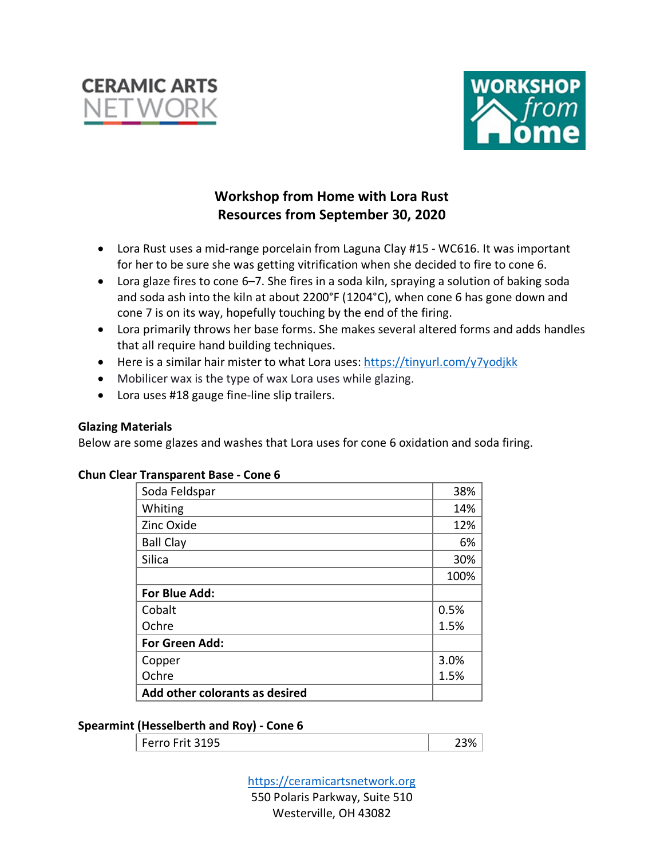



# **Workshop from Home with Lora Rust Resources from September 30, 2020**

- Lora Rust uses a mid-range porcelain from Laguna Clay #15 WC616. It was important for her to be sure she was getting vitrification when she decided to fire to cone 6.
- Lora glaze fires to cone 6–7. She fires in a soda kiln, spraying a solution of baking soda and soda ash into the kiln at about 2200°F (1204°C), when cone 6 has gone down and cone 7 is on its way, hopefully touching by the end of the firing.
- Lora primarily throws her base forms. She makes several altered forms and adds handles that all require hand building techniques.
- Here is a similar hair mister to what Lora uses: https://tinyurl.com/y7yodjkk
- Mobilicer wax is the type of wax Lora uses while glazing.
- Lora uses #18 gauge fine-line slip trailers.

## **Glazing Materials**

Below are some glazes and washes that Lora uses for cone 6 oxidation and soda firing.

| Soda Feldspar                  | 38%  |
|--------------------------------|------|
| Whiting                        | 14%  |
| Zinc Oxide                     | 12%  |
| <b>Ball Clay</b>               | 6%   |
| Silica                         | 30%  |
|                                | 100% |
| For Blue Add:                  |      |
| Cobalt                         | 0.5% |
| Ochre                          | 1.5% |
| For Green Add:                 |      |
| Copper                         | 3.0% |
| Ochre                          | 1.5% |
| Add other colorants as desired |      |

# **Chun Clear Transparent Base - Cone 6**

#### **Spearmint (Hesselberth and Roy) - Cone 6**

| Ferro Frit 3195 | `3% |
|-----------------|-----|
|                 |     |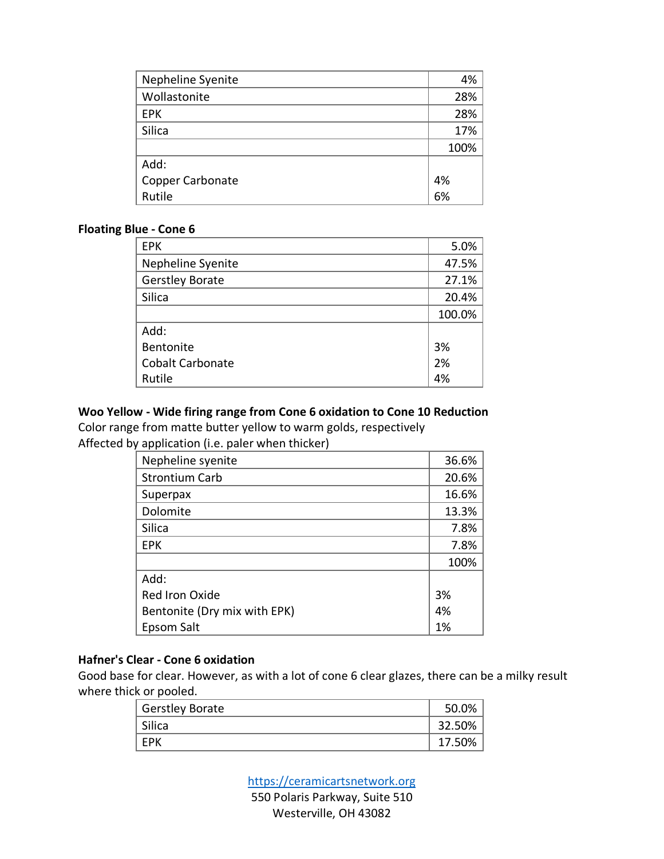| Nepheline Syenite | 4%   |
|-------------------|------|
| Wollastonite      | 28%  |
| <b>EPK</b>        | 28%  |
| Silica            | 17%  |
|                   | 100% |
| Add:              |      |
| Copper Carbonate  | 4%   |
| Rutile            | 6%   |

#### **Floating Blue - Cone 6**

| <b>EPK</b>              | 5.0%   |
|-------------------------|--------|
| Nepheline Syenite       | 47.5%  |
| <b>Gerstley Borate</b>  | 27.1%  |
| Silica                  | 20.4%  |
|                         | 100.0% |
| Add:                    |        |
| <b>Bentonite</b>        | 3%     |
| <b>Cobalt Carbonate</b> | 2%     |
| Rutile                  | 4%     |

# **Woo Yellow - Wide firing range from Cone 6 oxidation to Cone 10 Reduction**

Color range from matte butter yellow to warm golds, respectively Affected by application (i.e. paler when thicker)

| Nepheline syenite            | 36.6% |
|------------------------------|-------|
| <b>Strontium Carb</b>        | 20.6% |
| Superpax                     | 16.6% |
| Dolomite                     | 13.3% |
| Silica                       | 7.8%  |
| <b>EPK</b>                   | 7.8%  |
|                              | 100%  |
| Add:                         |       |
| <b>Red Iron Oxide</b>        | 3%    |
| Bentonite (Dry mix with EPK) | 4%    |
| Epsom Salt                   | 1%    |

# **Hafner's Clear - Cone 6 oxidation**

Good base for clear. However, as with a lot of cone 6 clear glazes, there can be a milky result where thick or pooled.

| <b>Gerstley Borate</b> | 50.0%  |
|------------------------|--------|
| Silica                 | 32.50% |
| <b>FPK</b>             | 17.50% |

https://ceramicartsnetwork.org 550 Polaris Parkway, Suite 510 Westerville, OH 43082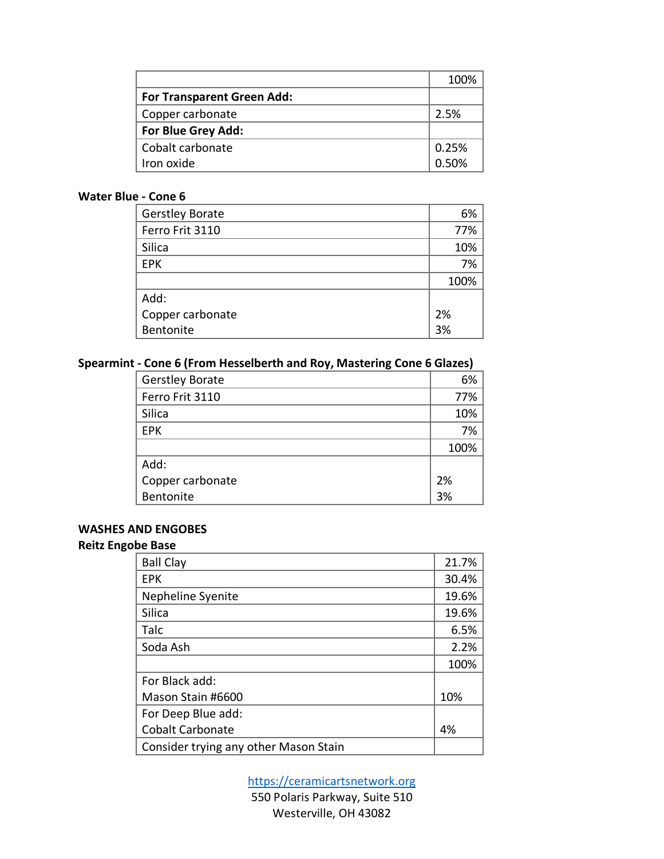|                                   | 100%  |
|-----------------------------------|-------|
| <b>For Transparent Green Add:</b> |       |
| Copper carbonate                  | 2.5%  |
| For Blue Grey Add:                |       |
| Cobalt carbonate                  | 0.25% |
| Iron oxide                        | 0.50% |

## **Water Blue - Cone 6**

| <b>Gerstley Borate</b> | 6%   |
|------------------------|------|
| Ferro Frit 3110        | 77%  |
| Silica                 | 10%  |
| <b>EPK</b>             | 7%   |
|                        | 100% |
| Add:                   |      |
| Copper carbonate       | 2%   |
| Bentonite              | 3%   |

## **Spearmint - Cone 6 (From Hesselberth and Roy, Mastering Cone 6 Glazes)**

| <b>Gerstley Borate</b> | 6%   |
|------------------------|------|
| Ferro Frit 3110        | 77%  |
| Silica                 | 10%  |
| <b>EPK</b>             | 7%   |
|                        | 100% |
| Add:                   |      |
| Copper carbonate       | 2%   |
| Bentonite              | 3%   |

## **WASHES AND ENGOBES**

## **Reitz Engobe Base**

| <b>Ball Clay</b>                      | 21.7% |
|---------------------------------------|-------|
| <b>EPK</b>                            | 30.4% |
| Nepheline Syenite                     | 19.6% |
| Silica                                | 19.6% |
| Talc                                  | 6.5%  |
| Soda Ash                              | 2.2%  |
|                                       | 100%  |
| For Black add:                        |       |
| Mason Stain #6600                     | 10%   |
| For Deep Blue add:                    |       |
| <b>Cobalt Carbonate</b>               | 4%    |
| Consider trying any other Mason Stain |       |

https://ceramicartsnetwork.org

550 Polaris Parkway, Suite 510 Westerville, OH 43082